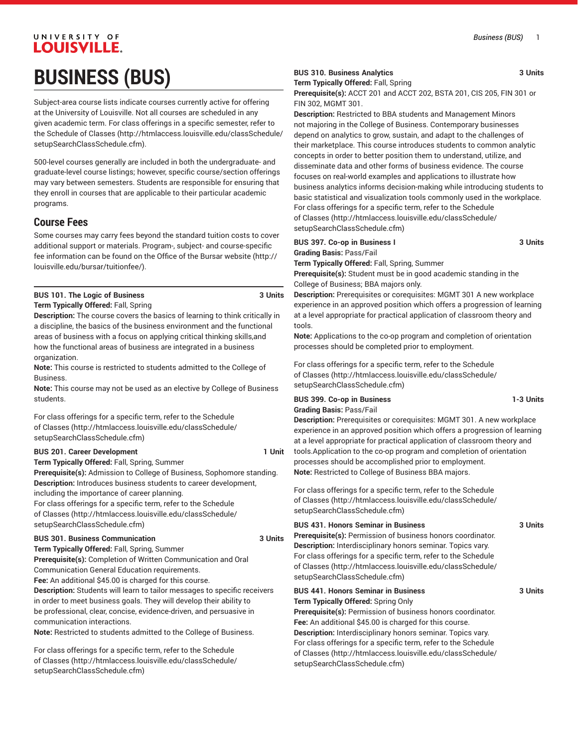# UNIVERSITY OF **LOUISVILLE. BUSINESS (BUS)**

Subject-area course lists indicate courses currently active for offering at the University of Louisville. Not all courses are scheduled in any given academic term. For class offerings in a specific semester, refer to the [Schedule of Classes](http://htmlaccess.louisville.edu/classSchedule/setupSearchClassSchedule.cfm) ([http://htmlaccess.louisville.edu/classSchedule/](http://htmlaccess.louisville.edu/classSchedule/setupSearchClassSchedule.cfm) [setupSearchClassSchedule.cfm\)](http://htmlaccess.louisville.edu/classSchedule/setupSearchClassSchedule.cfm).

500-level courses generally are included in both the undergraduate- and graduate-level course listings; however, specific course/section offerings may vary between semesters. Students are responsible for ensuring that they enroll in courses that are applicable to their particular academic programs.

# **Course Fees**

Some courses may carry fees beyond the standard tuition costs to cover additional support or materials. Program-, subject- and course-specific fee information can be found on the [Office of the Bursar website](http://louisville.edu/bursar/tuitionfee/) ([http://](http://louisville.edu/bursar/tuitionfee/) [louisville.edu/bursar/tuitionfee/](http://louisville.edu/bursar/tuitionfee/)).

# **BUS 101. The Logic of Business 3 Units Term Typically Offered:** Fall, Spring

**Description:** The course covers the basics of learning to think critically in a discipline, the basics of the business environment and the functional areas of business with a focus on applying critical thinking skills,and how the functional areas of business are integrated in a business organization

**Note:** This course is restricted to students admitted to the College of Business.

**Note:** This course may not be used as an elective by College of Business students.

For class offerings for a specific term, refer to the [Schedule](http://htmlaccess.louisville.edu/classSchedule/setupSearchClassSchedule.cfm) [of Classes \(http://htmlaccess.louisville.edu/classSchedule/](http://htmlaccess.louisville.edu/classSchedule/setupSearchClassSchedule.cfm) [setupSearchClassSchedule.cfm\)](http://htmlaccess.louisville.edu/classSchedule/setupSearchClassSchedule.cfm)

# **BUS 201. Career Development 1 Unit**

**Term Typically Offered:** Fall, Spring, Summer

**Prerequisite(s):** Admission to College of Business, Sophomore standing. **Description:** Introduces business students to career development, including the importance of career planning.

For class offerings for a specific term, refer to the [Schedule](http://htmlaccess.louisville.edu/classSchedule/setupSearchClassSchedule.cfm) [of Classes \(http://htmlaccess.louisville.edu/classSchedule/](http://htmlaccess.louisville.edu/classSchedule/setupSearchClassSchedule.cfm) [setupSearchClassSchedule.cfm\)](http://htmlaccess.louisville.edu/classSchedule/setupSearchClassSchedule.cfm)

#### **BUS 301. Business Communication 3 Units**

**Term Typically Offered:** Fall, Spring, Summer **Prerequisite(s):** Completion of Written Communication and Oral Communication General Education requirements.

**Fee:** An additional \$45.00 is charged for this course.

**Description:** Students will learn to tailor messages to specific receivers in order to meet business goals. They will develop their ability to be professional, clear, concise, evidence-driven, and persuasive in communication interactions.

**Note:** Restricted to students admitted to the College of Business.

For class offerings for a specific term, refer to the [Schedule](http://htmlaccess.louisville.edu/classSchedule/setupSearchClassSchedule.cfm) [of Classes \(http://htmlaccess.louisville.edu/classSchedule/](http://htmlaccess.louisville.edu/classSchedule/setupSearchClassSchedule.cfm) [setupSearchClassSchedule.cfm\)](http://htmlaccess.louisville.edu/classSchedule/setupSearchClassSchedule.cfm)

# **BUS 310. Business Analytics 3 Units**

**Term Typically Offered:** Fall, Spring

**Prerequisite(s):** ACCT 201 and ACCT 202, BSTA 201, CIS 205, FIN 301 or FIN 302, MGMT 301.

**Description:** Restricted to BBA students and Management Minors not majoring in the College of Business. Contemporary businesses depend on analytics to grow, sustain, and adapt to the challenges of their marketplace. This course introduces students to common analytic concepts in order to better position them to understand, utilize, and disseminate data and other forms of business evidence. The course focuses on real-world examples and applications to illustrate how business analytics informs decision-making while introducing students to basic statistical and visualization tools commonly used in the workplace. For class offerings for a specific term, refer to the [Schedule](http://htmlaccess.louisville.edu/classSchedule/setupSearchClassSchedule.cfm) [of Classes](http://htmlaccess.louisville.edu/classSchedule/setupSearchClassSchedule.cfm) ([http://htmlaccess.louisville.edu/classSchedule/](http://htmlaccess.louisville.edu/classSchedule/setupSearchClassSchedule.cfm) [setupSearchClassSchedule.cfm\)](http://htmlaccess.louisville.edu/classSchedule/setupSearchClassSchedule.cfm)

## **BUS 397. Co-op in Business I 3 Units Grading Basis:** Pass/Fail

**Term Typically Offered:** Fall, Spring, Summer **Prerequisite(s):** Student must be in good academic standing in the College of Business; BBA majors only.

**Description:** Prerequisites or corequisites: MGMT 301 A new workplace experience in an approved position which offers a progression of learning at a level appropriate for practical application of classroom theory and tools.

**Note:** Applications to the co-op program and completion of orientation processes should be completed prior to employment.

For class offerings for a specific term, refer to the [Schedule](http://htmlaccess.louisville.edu/classSchedule/setupSearchClassSchedule.cfm) [of Classes](http://htmlaccess.louisville.edu/classSchedule/setupSearchClassSchedule.cfm) ([http://htmlaccess.louisville.edu/classSchedule/](http://htmlaccess.louisville.edu/classSchedule/setupSearchClassSchedule.cfm) [setupSearchClassSchedule.cfm\)](http://htmlaccess.louisville.edu/classSchedule/setupSearchClassSchedule.cfm)

## **BUS 399. Co-op in Business 1-3 Units Grading Basis:** Pass/Fail

**Description:** Prerequisites or corequisites: MGMT 301. A new workplace experience in an approved position which offers a progression of learning at a level appropriate for practical application of classroom theory and tools.Application to the co-op program and completion of orientation processes should be accomplished prior to employment. **Note:** Restricted to College of Business BBA majors.

For class offerings for a specific term, refer to the [Schedule](http://htmlaccess.louisville.edu/classSchedule/setupSearchClassSchedule.cfm) [of Classes](http://htmlaccess.louisville.edu/classSchedule/setupSearchClassSchedule.cfm) ([http://htmlaccess.louisville.edu/classSchedule/](http://htmlaccess.louisville.edu/classSchedule/setupSearchClassSchedule.cfm) [setupSearchClassSchedule.cfm\)](http://htmlaccess.louisville.edu/classSchedule/setupSearchClassSchedule.cfm)

# **BUS 431. Honors Seminar in Business 3 Units**

**Prerequisite(s):** Permission of business honors coordinator. **Description:** Interdisciplinary honors seminar. Topics vary. For class offerings for a specific term, refer to the [Schedule](http://htmlaccess.louisville.edu/classSchedule/setupSearchClassSchedule.cfm) [of Classes](http://htmlaccess.louisville.edu/classSchedule/setupSearchClassSchedule.cfm) ([http://htmlaccess.louisville.edu/classSchedule/](http://htmlaccess.louisville.edu/classSchedule/setupSearchClassSchedule.cfm) [setupSearchClassSchedule.cfm\)](http://htmlaccess.louisville.edu/classSchedule/setupSearchClassSchedule.cfm)

# **BUS 441. Honors Seminar in Business 3 Units Term Typically Offered:** Spring Only

**Prerequisite(s):** Permission of business honors coordinator. **Fee:** An additional \$45.00 is charged for this course. **Description:** Interdisciplinary honors seminar. Topics vary. For class offerings for a specific term, refer to the [Schedule](http://htmlaccess.louisville.edu/classSchedule/setupSearchClassSchedule.cfm) [of Classes](http://htmlaccess.louisville.edu/classSchedule/setupSearchClassSchedule.cfm) ([http://htmlaccess.louisville.edu/classSchedule/](http://htmlaccess.louisville.edu/classSchedule/setupSearchClassSchedule.cfm) [setupSearchClassSchedule.cfm\)](http://htmlaccess.louisville.edu/classSchedule/setupSearchClassSchedule.cfm)